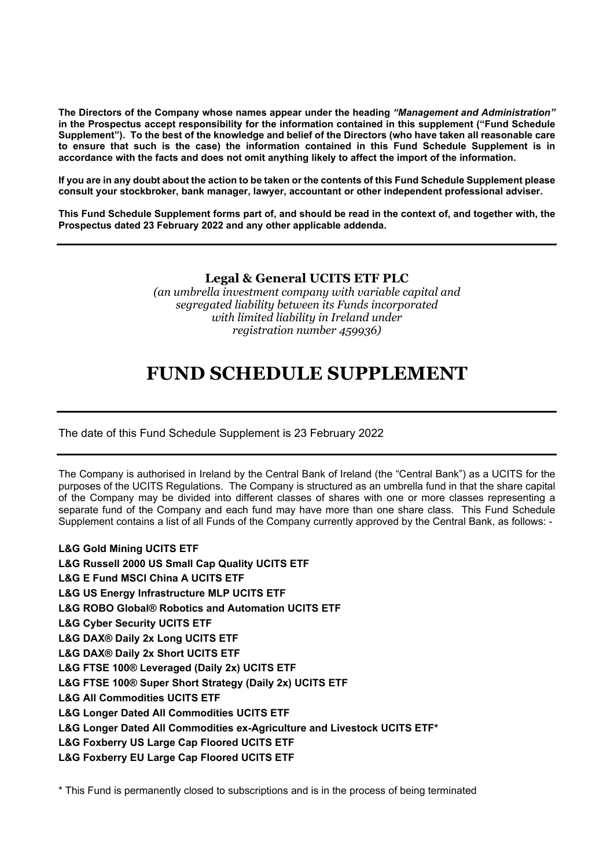**The Directors of the Company whose names appear under the heading** *"Management and Administration"* **in the Prospectus accept responsibility for the information contained in this supplement ("Fund Schedule** Supplement"). To the best of the knowledge and belief of the Directors (who have taken all reasonable care **to ensure that such is the case) the information contained in this Fund Schedule Supplement is in accordance with the facts and does not omit anything likely to affect the import of the information.**

If you are in any doubt about the action to be taken or the contents of this Fund Schedule Supplement please **consult your stockbroker, bank manager, lawyer, accountant or other independent professional adviser.**

This Fund Schedule Supplement forms part of, and should be read in the context of, and together with, the **Prospectus dated 23 February 2022 and any other applicable addenda.**

## **Legal & General UCITS ETF PLC**

*(an umbrella investment company with variable capital and segregated liability between its Funds incorporated with limited liability in Ireland under registration number 459936)*

## **FUND SCHEDULE SUPPLEMENT**

The date of this Fund Schedule Supplement is 23 February 2022

The Company is authorised in Ireland by the Central Bank of Ireland (the "Central Bank") as a UCITS for the purposes of the UCITS Regulations. The Company is structured as an umbrella fund in that the share capital of the Company may be divided into different classes of shares with one or more classes representing a separate fund of the Company and each fund may have more than one share class. This Fund Schedule Supplement contains a list of all Funds of the Company currently approved by the Central Bank, as follows: -

- **L&G Gold Mining UCITS ETF**
- **L&G Russell 2000 US Small Cap Quality UCITS ETF**
- **L&G E Fund MSCI China A UCITS ETF**
- **L&G US Energy Infrastructure MLP UCITS ETF**
- **L&G ROBO Global® Robotics and Automation UCITS ETF**
- **L&G Cyber Security UCITS ETF**
- **L&G DAX® Daily 2x Long UCITS ETF**
- **L&G DAX® Daily 2x Short UCITS ETF**
- **L&G FTSE 100® Leveraged (Daily 2x) UCITS ETF**
- **L&G FTSE 100® Super Short Strategy (Daily 2x) UCITS ETF**
- **L&G All Commodities UCITS ETF**
- **L&G Longer Dated All Commodities UCITS ETF**
- **L&G Longer Dated All Commodities ex-Agriculture and Livestock UCITS ETF\***
- **L&G Foxberry US Large Cap Floored UCITS ETF**
- **L&G Foxberry EU Large Cap Floored UCITS ETF**

\* This Fund is permanently closed to subscriptions and is in the process of being terminated